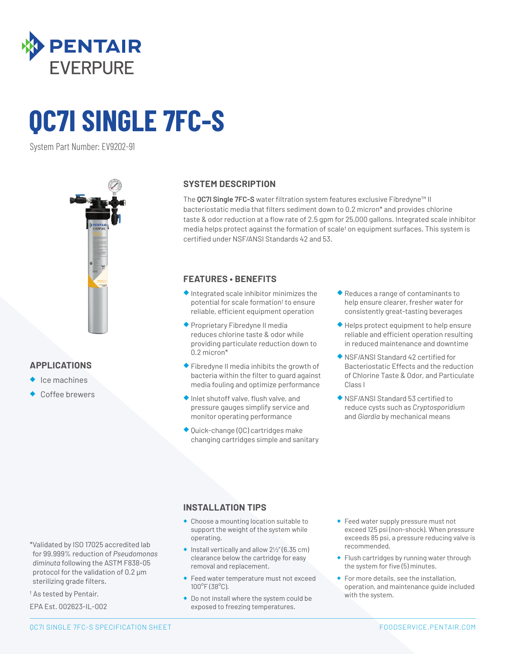

# **QC7I SINGLE 7FC-S**

System Part Number: EV9202-91



## **APPLICATIONS**

- ◆ Ice machines
- Coffee brewers

#### **SYSTEM DESCRIPTION**

The **QC7I Single 7FC-S** water filtration system features exclusive Fibredyne™ II bacteriostatic media that filters sediment down to 0.2 micron\* and provides chlorine taste & odor reduction at a flow rate of 2.5 gpm for 25,000 gallons. Integrated scale inhibitor media helps protect against the formation of scale† on equipment surfaces. This system is certified under NSF/ANSI Standards 42 and 53.

## **FEATURES • BENEFITS**

- ◆ Integrated scale inhibitor minimizes the potential for scale formation† to ensure reliable, efficient equipment operation
- ◆ Proprietary Fibredyne II media reduces chlorine taste & odor while providing particulate reduction down to 0.2 micron\*
- ◆ Fibredyne II media inhibits the growth of bacteria within the filter to guard against media fouling and optimize performance
- ◆ Inlet shutoff valve, flush valve, and pressure gauges simplify service and monitor operating performance
- ◆ Quick-change (QC) cartridges make changing cartridges simple and sanitary
- ◆ Reduces a range of contaminants to help ensure clearer, fresher water for consistently great-tasting beverages
- ◆ Helps protect equipment to help ensure reliable and efficient operation resulting in reduced maintenance and downtime
- ◆ NSF/ANSI Standard 42 certified for Bacteriostatic Effects and the reduction of Chlorine Taste & Odor, and Particulate Class I
- ◆ NSF/ANSI Standard 53 certified to reduce cysts such as *Cryptosporidium*  and *Giardia* by mechanical means

## **INSTALLATION TIPS**

- ◆ Choose a mounting location suitable to support the weight of the system while operating.
- $\bullet$  Install vertically and allow  $2\frac{1}{2}$ " (6.35 cm) clearance below the cartridge for easy removal and replacement.
- ◆ Feed water temperature must not exceed 100°F (38°C).
- ◆ Do not install where the system could be exposed to freezing temperatures.
- ◆ Feed water supply pressure must not exceed 125 psi (non-shock). When pressure exceeds 85 psi, a pressure reducing valve is recommended.
- ◆ Flush cartridges by running water through the system for five (5) minutes.
- ◆ For more details, see the installation, operation, and maintenance guide included with the system.

\*Validated by ISO 17025 accredited lab for 99.999% reduction of *Pseudomonas diminuta* following the ASTM F838-05 protocol for the validation of 0.2 µm sterilizing grade filters.

† As tested by Pentair.

EPA Est. 002623-IL-002